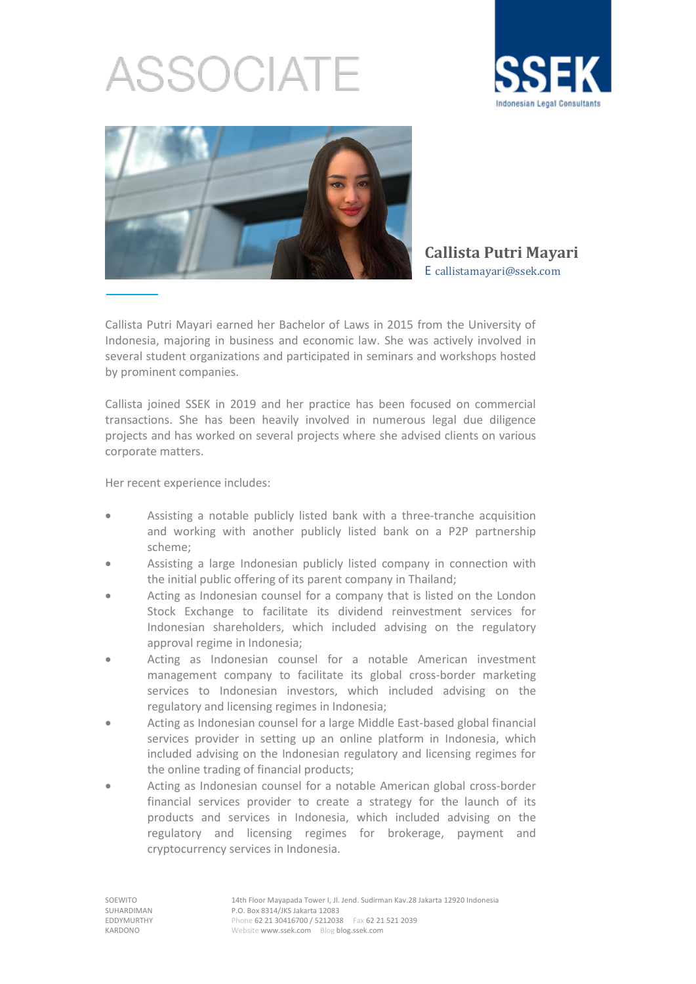## ASSOCIAT





## **Callista Putri Mayari** E callistamayari@ssek.com

Callista Putri Mayari earned her Bachelor of Laws in 2015 from the University of Indonesia, majoring in business and economic law. She was actively involved in several student organizations and participated in seminars and workshops hosted by prominent companies.

Callista joined SSEK in 2019 and her practice has been focused on commercial transactions. She has been heavily involved in numerous legal due diligence projects and has worked on several projects where she advised clients on various corporate matters.

Her recent experience includes:

- Assisting a notable publicly listed bank with a three-tranche acquisition and working with another publicly listed bank on a P2P partnership scheme;
- Assisting a large Indonesian publicly listed company in connection with the initial public offering of its parent company in Thailand;
- Acting as Indonesian counsel for a company that is listed on the London Stock Exchange to facilitate its dividend reinvestment services for Indonesian shareholders, which included advising on the regulatory approval regime in Indonesia;
- Acting as Indonesian counsel for a notable American investment management company to facilitate its global cross-border marketing services to Indonesian investors, which included advising on the regulatory and licensing regimes in Indonesia;
- Acting as Indonesian counsel for a large Middle East-based global financial services provider in setting up an online platform in Indonesia, which included advising on the Indonesian regulatory and licensing regimes for the online trading of financial products;
- Acting as Indonesian counsel for a notable American global cross-border financial services provider to create a strategy for the launch of its products and services in Indonesia, which included advising on the regulatory and licensing regimes for brokerage, payment and cryptocurrency services in Indonesia.